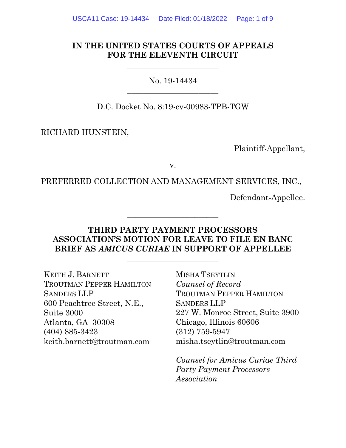## **IN THE UNITED STATES COURTS OF APPEALS FOR THE ELEVENTH CIRCUIT**

 $\frac{1}{2}$  , and the set of the set of the set of the set of the set of the set of the set of the set of the set of the set of the set of the set of the set of the set of the set of the set of the set of the set of the set

No. 19-14434  $\overline{\phantom{a}}$  , where  $\overline{\phantom{a}}$  , where  $\overline{\phantom{a}}$  , where  $\overline{\phantom{a}}$ 

D.C. Docket No. 8:19-cv-00983-TPB-TGW

RICHARD HUNSTEIN,

Plaintiff-Appellant,

v.

PREFERRED COLLECTION AND MANAGEMENT SERVICES, INC.,

Defendant-Appellee.

## **THIRD PARTY PAYMENT PROCESSORS ASSOCIATION'S MOTION FOR LEAVE TO FILE EN BANC BRIEF AS** *AMICUS CURIAE* **IN SUPPORT OF APPELLEE**

 $\frac{1}{2}$  , and the set of the set of the set of the set of the set of the set of the set of the set of the set of the set of the set of the set of the set of the set of the set of the set of the set of the set of the set

 $\frac{1}{2}$  , and the set of the set of the set of the set of the set of the set of the set of the set of the set of the set of the set of the set of the set of the set of the set of the set of the set of the set of the set

KEITH J. BARNETT TROUTMAN PEPPER HAMILTON SANDERS LLP 600 Peachtree Street, N.E., Suite 3000 Atlanta, GA 30308 (404) 885-3423 keith.barnett@troutman.com

MISHA TSEYTLIN *Counsel of Record* TROUTMAN PEPPER HAMILTON SANDERS LLP 227 W. Monroe Street, Suite 3900 Chicago, Illinois 60606 (312) 759-5947 misha.tseytlin@troutman.com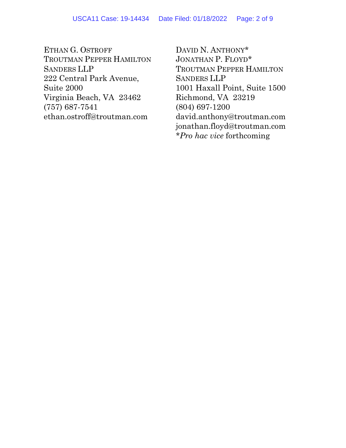ETHAN G. OSTROFF TROUTMAN PEPPER HAMILTON SANDERS LLP 222 Central Park Avenue, Suite 2000 Virginia Beach, VA 23462 (757) 687-7541 ethan.ostroff@troutman.com

DAVID N. ANTHONY\* JONATHAN P. FLOYD\* TROUTMAN PEPPER HAMILTON SANDERS LLP 1001 Haxall Point, Suite 1500 Richmond, VA 23219 (804) 697-1200 david.anthony@troutman.com jonathan.floyd@troutman.com *\*Pro hac vice* forthcoming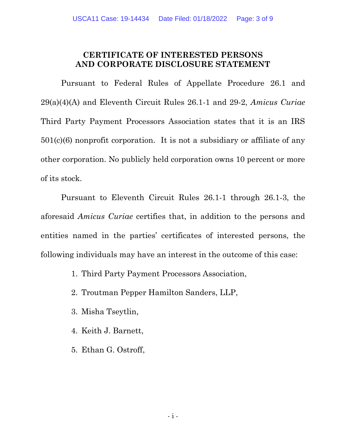## **CERTIFICATE OF INTERESTED PERSONS AND CORPORATE DISCLOSURE STATEMENT**

Pursuant to Federal Rules of Appellate Procedure 26.1 and 29(a)(4)(A) and Eleventh Circuit Rules 26.1-1 and 29-2, *Amicus Curiae* Third Party Payment Processors Association states that it is an IRS  $501(c)(6)$  nonprofit corporation. It is not a subsidiary or affiliate of any other corporation. No publicly held corporation owns 10 percent or more of its stock.

Pursuant to Eleventh Circuit Rules 26.1-1 through 26.1-3, the aforesaid *Amicus Curiae* certifies that, in addition to the persons and entities named in the parties' certificates of interested persons, the following individuals may have an interest in the outcome of this case:

- 1. Third Party Payment Processors Association,
- 2. Troutman Pepper Hamilton Sanders, LLP,
- 3. Misha Tseytlin,
- 4. Keith J. Barnett,
- 5. Ethan G. Ostroff,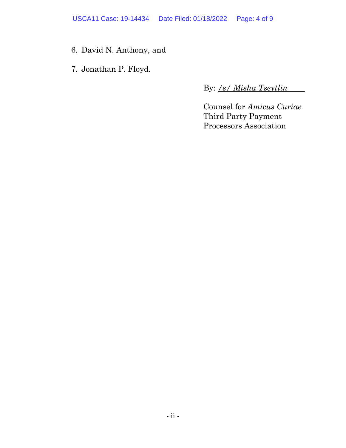USCA11 Case: 19-14434 Date Filed: 01/18/2022 Page: 4 of 9

- 6. David N. Anthony, and
- 7. Jonathan P. Floyd.

By: */s/ Misha Tseytlin*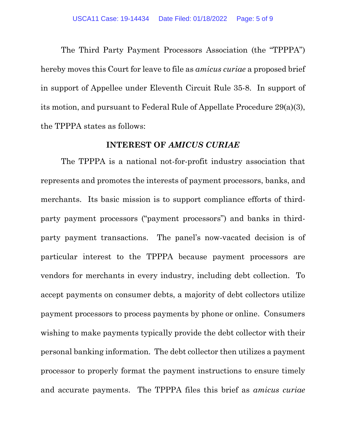The Third Party Payment Processors Association (the "TPPPA") hereby moves this Court for leave to file as *amicus curiae* a proposed brief in support of Appellee under Eleventh Circuit Rule 35-8. In support of its motion, and pursuant to Federal Rule of Appellate Procedure 29(a)(3), the TPPPA states as follows:

### **INTEREST OF** *AMICUS CURIAE*

The TPPPA is a national not-for-profit industry association that represents and promotes the interests of payment processors, banks, and merchants. Its basic mission is to support compliance efforts of thirdparty payment processors ("payment processors") and banks in thirdparty payment transactions. The panel's now-vacated decision is of particular interest to the TPPPA because payment processors are vendors for merchants in every industry, including debt collection. To accept payments on consumer debts, a majority of debt collectors utilize payment processors to process payments by phone or online. Consumers wishing to make payments typically provide the debt collector with their personal banking information. The debt collector then utilizes a payment processor to properly format the payment instructions to ensure timely and accurate payments. The TPPPA files this brief as *amicus curiae*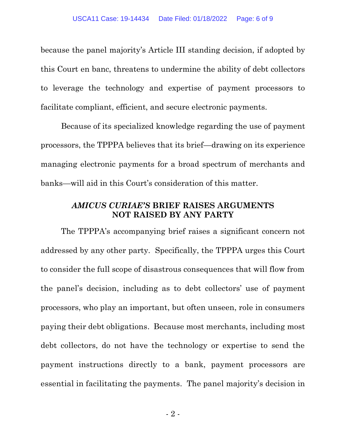because the panel majority's Article III standing decision, if adopted by this Court en banc, threatens to undermine the ability of debt collectors to leverage the technology and expertise of payment processors to facilitate compliant, efficient, and secure electronic payments.

Because of its specialized knowledge regarding the use of payment processors, the TPPPA believes that its brief—drawing on its experience managing electronic payments for a broad spectrum of merchants and banks—will aid in this Court's consideration of this matter.

## *AMICUS CURIAE'S* **BRIEF RAISES ARGUMENTS NOT RAISED BY ANY PARTY**

The TPPPA's accompanying brief raises a significant concern not addressed by any other party. Specifically, the TPPPA urges this Court to consider the full scope of disastrous consequences that will flow from the panel's decision, including as to debt collectors' use of payment processors, who play an important, but often unseen, role in consumers paying their debt obligations. Because most merchants, including most debt collectors, do not have the technology or expertise to send the payment instructions directly to a bank, payment processors are essential in facilitating the payments. The panel majority's decision in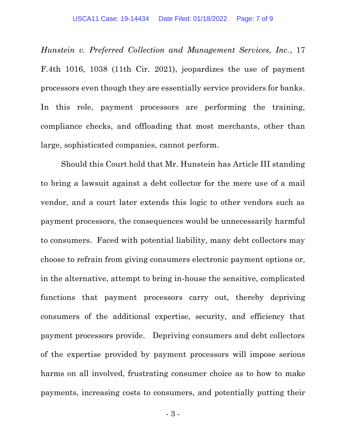*Hunstein v. Preferred Collection and Management Services, Inc.*, 17 F.4th 1016, 1038 (11th Cir. 2021), jeopardizes the use of payment processors even though they are essentially service providers for banks. In this role, payment processors are performing the training, compliance checks, and offloading that most merchants, other than large, sophisticated companies, cannot perform.

Should this Court hold that Mr. Hunstein has Article III standing to bring a lawsuit against a debt collector for the mere use of a mail vendor, and a court later extends this logic to other vendors such as payment processors, the consequences would be unnecessarily harmful to consumers. Faced with potential liability, many debt collectors may choose to refrain from giving consumers electronic payment options or, in the alternative, attempt to bring in-house the sensitive, complicated functions that payment processors carry out, thereby depriving consumers of the additional expertise, security, and efficiency that payment processors provide. Depriving consumers and debt collectors of the expertise provided by payment processors will impose serious harms on all involved, frustrating consumer choice as to how to make payments, increasing costs to consumers, and potentially putting their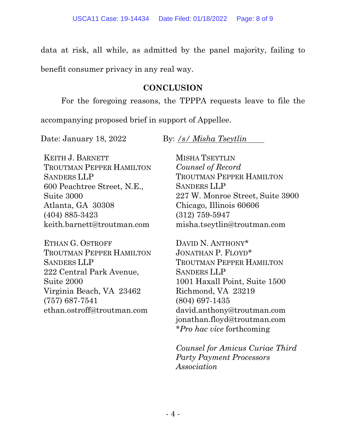data at risk, all while, as admitted by the panel majority, failing to

benefit consumer privacy in any real way.

## **CONCLUSION**

For the foregoing reasons, the TPPPA requests leave to file the

accompanying proposed brief in support of Appellee.

Date: January 18, 2022 By: */s/ Misha Tseytlin*

KEITH J. BARNETT TROUTMAN PEPPER HAMILTON SANDERS LLP 600 Peachtree Street, N.E., Suite 3000 Atlanta, GA 30308 (404) 885-3423 keith.barnett@troutman.com

ETHAN G. OSTROFF TROUTMAN PEPPER HAMILTON SANDERS LLP 222 Central Park Avenue, Suite 2000 Virginia Beach, VA 23462 (757) 687-7541 ethan.ostroff@troutman.com

MISHA TSEYTLIN *Counsel of Record* TROUTMAN PEPPER HAMILTON SANDERS LLP 227 W. Monroe Street, Suite 3900 Chicago, Illinois 60606 (312) 759-5947 misha.tseytlin@troutman.com

DAVID N. ANTHONY\* JONATHAN P. FLOYD\* TROUTMAN PEPPER HAMILTON SANDERS LLP 1001 Haxall Point, Suite 1500 Richmond, VA 23219 (804) 697-1435 david.anthony@troutman.com jonathan.floyd@troutman.com *\*Pro hac vice* forthcoming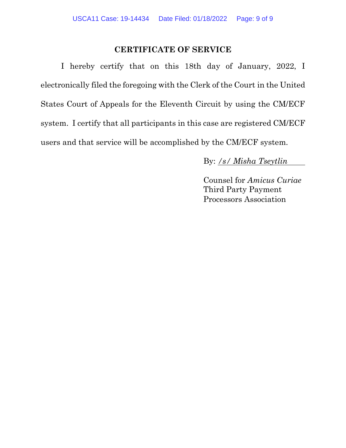## **CERTIFICATE OF SERVICE**

I hereby certify that on this 18th day of January, 2022, I electronically filed the foregoing with the Clerk of the Court in the United States Court of Appeals for the Eleventh Circuit by using the CM/ECF system. I certify that all participants in this case are registered CM/ECF users and that service will be accomplished by the CM/ECF system.

By: */s/ Misha Tseytlin*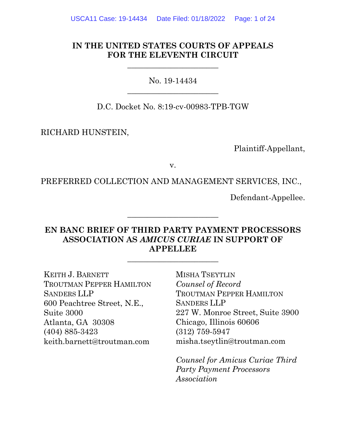## **IN THE UNITED STATES COURTS OF APPEALS FOR THE ELEVENTH CIRCUIT**

 $\frac{1}{2}$  , and the set of the set of the set of the set of the set of the set of the set of the set of the set of the set of the set of the set of the set of the set of the set of the set of the set of the set of the set

No. 19-14434  $\overline{\phantom{a}}$  , where  $\overline{\phantom{a}}$  , where  $\overline{\phantom{a}}$  , where  $\overline{\phantom{a}}$ 

D.C. Docket No. 8:19-cv-00983-TPB-TGW

RICHARD HUNSTEIN,

Plaintiff-Appellant,

v.

PREFERRED COLLECTION AND MANAGEMENT SERVICES, INC.,

Defendant-Appellee.

## **EN BANC BRIEF OF THIRD PARTY PAYMENT PROCESSORS ASSOCIATION AS** *AMICUS CURIAE* **IN SUPPORT OF APPELLEE**

 $\frac{1}{2}$  , and the set of the set of the set of the set of the set of the set of the set of the set of the set of the set of the set of the set of the set of the set of the set of the set of the set of the set of the set

 $\frac{1}{2}$  , and the set of the set of the set of the set of the set of the set of the set of the set of the set of the set of the set of the set of the set of the set of the set of the set of the set of the set of the set

KEITH J. BARNETT TROUTMAN PEPPER HAMILTON SANDERS LLP 600 Peachtree Street, N.E., Suite 3000 Atlanta, GA 30308 (404) 885-3423 keith.barnett@troutman.com

MISHA TSEYTLIN *Counsel of Record* TROUTMAN PEPPER HAMILTON SANDERS LLP 227 W. Monroe Street, Suite 3900 Chicago, Illinois 60606 (312) 759-5947 misha.tseytlin@troutman.com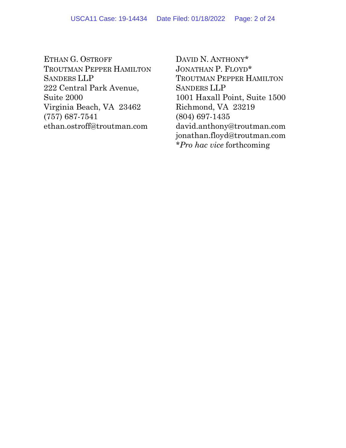ETHAN G. OSTROFF TROUTMAN PEPPER HAMILTON SANDERS LLP 222 Central Park Avenue, Suite 2000 Virginia Beach, VA 23462 (757) 687-7541 ethan.ostroff@troutman.com

DAVID N. ANTHONY\* JONATHAN P. FLOYD\* TROUTMAN PEPPER HAMILTON SANDERS LLP 1001 Haxall Point, Suite 1500 Richmond, VA 23219 (804) 697-1435 david.anthony@troutman.com jonathan.floyd@troutman.com *\*Pro hac vice* forthcoming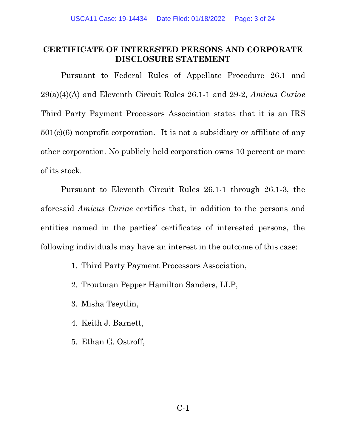## <span id="page-11-0"></span>**CERTIFICATE OF INTERESTED PERSONS AND CORPORATE DISCLOSURE STATEMENT**

Pursuant to Federal Rules of Appellate Procedure 26.1 and 29(a)(4)(A) and Eleventh Circuit Rules 26.1-1 and 29-2, *Amicus Curiae* Third Party Payment Processors Association states that it is an IRS  $501(c)(6)$  nonprofit corporation. It is not a subsidiary or affiliate of any other corporation. No publicly held corporation owns 10 percent or more of its stock.

Pursuant to Eleventh Circuit Rules 26.1-1 through 26.1-3, the aforesaid *Amicus Curiae* certifies that, in addition to the persons and entities named in the parties' certificates of interested persons, the following individuals may have an interest in the outcome of this case:

1. Third Party Payment Processors Association,

- 2. Troutman Pepper Hamilton Sanders, LLP,
- 3. Misha Tseytlin,
- 4. Keith J. Barnett,
- 5. Ethan G. Ostroff,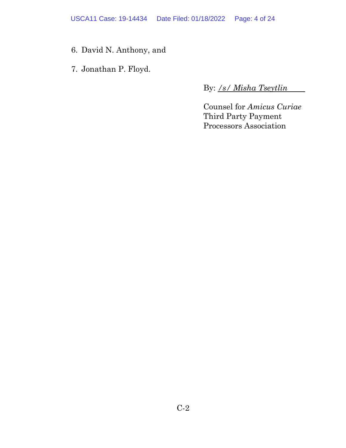USCA11 Case: 19-14434 Date Filed: 01/18/2022 Page: 4 of 24

- 6. David N. Anthony, and
- 7. Jonathan P. Floyd.

By: */s/ Misha Tseytlin*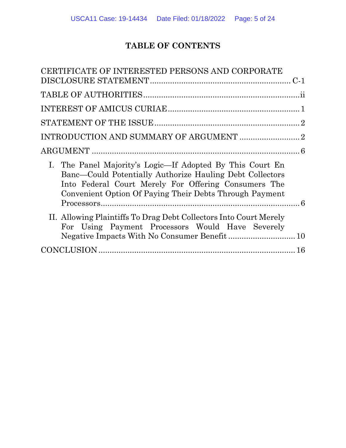# **TABLE OF CONTENTS**

| CERTIFICATE OF INTERESTED PERSONS AND CORPORATE                                                                                                                                                                                          |  |
|------------------------------------------------------------------------------------------------------------------------------------------------------------------------------------------------------------------------------------------|--|
|                                                                                                                                                                                                                                          |  |
|                                                                                                                                                                                                                                          |  |
|                                                                                                                                                                                                                                          |  |
|                                                                                                                                                                                                                                          |  |
|                                                                                                                                                                                                                                          |  |
|                                                                                                                                                                                                                                          |  |
| I. The Panel Majority's Logic—If Adopted By This Court En<br>Banc—Could Potentially Authorize Hauling Debt Collectors<br>Into Federal Court Merely For Offering Consumers The<br>Convenient Option Of Paying Their Debts Through Payment |  |
| II. Allowing Plaintiffs To Drag Debt Collectors Into Court Merely<br>For Using Payment Processors Would Have Severely                                                                                                                    |  |
|                                                                                                                                                                                                                                          |  |
|                                                                                                                                                                                                                                          |  |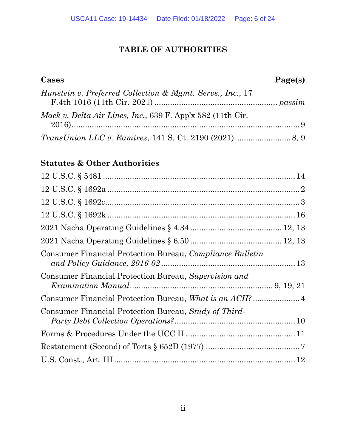## **TABLE OF AUTHORITIES**

<span id="page-14-0"></span>

| Cases                                                      | Page(s) |
|------------------------------------------------------------|---------|
| Hunstein v. Preferred Collection & Mgmt. Servs., Inc., 17  |         |
| Mack v. Delta Air Lines, Inc., 639 F. App'x 582 (11th Cir. |         |
|                                                            |         |

# **Statutes & Other Authorities**

| Consumer Financial Protection Bureau, Compliance Bulletin |  |
|-----------------------------------------------------------|--|
| Consumer Financial Protection Bureau, Supervision and     |  |
|                                                           |  |
| Consumer Financial Protection Bureau, Study of Third-     |  |
|                                                           |  |
|                                                           |  |
|                                                           |  |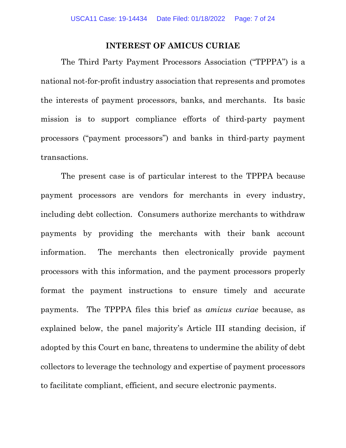### **INTEREST OF AMICUS CURIAE**

<span id="page-15-0"></span>The Third Party Payment Processors Association ("TPPPA") is a national not-for-profit industry association that represents and promotes the interests of payment processors, banks, and merchants. Its basic mission is to support compliance efforts of third-party payment processors ("payment processors") and banks in third-party payment transactions.

The present case is of particular interest to the TPPPA because payment processors are vendors for merchants in every industry, including debt collection. Consumers authorize merchants to withdraw payments by providing the merchants with their bank account information. The merchants then electronically provide payment processors with this information, and the payment processors properly format the payment instructions to ensure timely and accurate payments. The TPPPA files this brief as *amicus curiae* because, as explained below, the panel majority's Article III standing decision, if adopted by this Court en banc, threatens to undermine the ability of debt collectors to leverage the technology and expertise of payment processors to facilitate compliant, efficient, and secure electronic payments.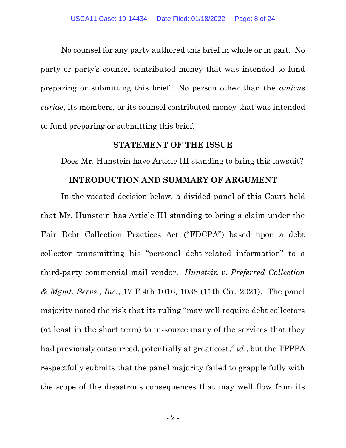No counsel for any party authored this brief in whole or in part. No party or party's counsel contributed money that was intended to fund preparing or submitting this brief. No person other than the *amicus curiae*, its members, or its counsel contributed money that was intended to fund preparing or submitting this brief.

## **STATEMENT OF THE ISSUE**

<span id="page-16-0"></span>Does Mr. Hunstein have Article III standing to bring this lawsuit?

#### **INTRODUCTION AND SUMMARY OF ARGUMENT**

<span id="page-16-1"></span>In the vacated decision below, a divided panel of this Court held that Mr. Hunstein has Article III standing to bring a claim under the Fair Debt Collection Practices Act ("FDCPA") based upon a debt collector transmitting his "personal debt-related information" to a third-party commercial mail vendor. *Hunstein v. Preferred Collection & Mgmt. Servs., Inc.*, 17 F.4th 1016, 1038 (11th Cir. 2021). The panel majority noted the risk that its ruling "may well require debt collectors (at least in the short term) to in-source many of the services that they had previously outsourced, potentially at great cost," *id.*, but the TPPPA respectfully submits that the panel majority failed to grapple fully with the scope of the disastrous consequences that may well flow from its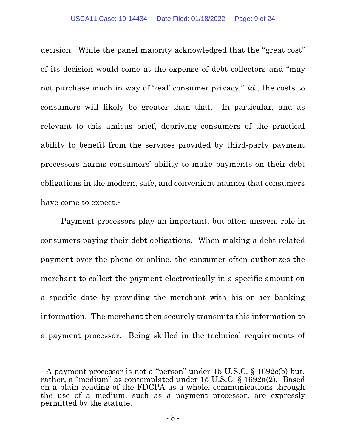decision. While the panel majority acknowledged that the "great cost" of its decision would come at the expense of debt collectors and "may not purchase much in way of 'real' consumer privacy," *id.*, the costs to consumers will likely be greater than that. In particular, and as relevant to this amicus brief, depriving consumers of the practical ability to benefit from the services provided by third-party payment processors harms consumers' ability to make payments on their debt obligations in the modern, safe, and convenient manner that consumers have come to expect.<sup>1</sup>

Payment processors play an important, but often unseen, role in consumers paying their debt obligations. When making a debt-related payment over the phone or online, the consumer often authorizes the merchant to collect the payment electronically in a specific amount on a specific date by providing the merchant with his or her banking information. The merchant then securely transmits this information to a payment processor. Being skilled in the technical requirements of

<sup>&</sup>lt;sup>1</sup> A payment processor is not a "person" under 15 U.S.C. § 1692c(b) but, rather, a "medium" as contemplated under 15 U.S.C.  $\S$  1692a(2). Based on a plain reading of the FDCPA as a whole, communications through the use of a medium, such as a payment processor, are expressly permitted by the statute.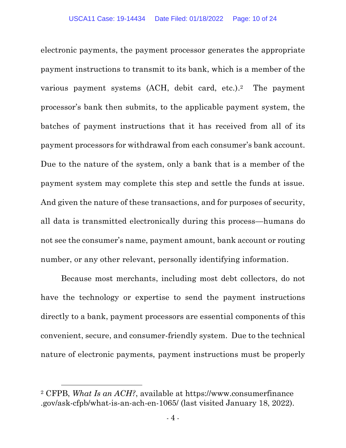electronic payments, the payment processor generates the appropriate payment instructions to transmit to its bank, which is a member of the various payment systems (ACH, debit card, etc.). The payment processor's bank then submits, to the applicable payment system, the batches of payment instructions that it has received from all of its payment processors for withdrawal from each consumer's bank account. Due to the nature of the system, only a bank that is a member of the payment system may complete this step and settle the funds at issue. And given the nature of these transactions, and for purposes of security, all data is transmitted electronically during this process—humans do not see the consumer's name, payment amount, bank account or routing number, or any other relevant, personally identifying information.

Because most merchants, including most debt collectors, do not have the technology or expertise to send the payment instructions directly to a bank, payment processors are essential components of this convenient, secure, and consumer-friendly system. Due to the technical nature of electronic payments, payment instructions must be properly

<sup>2</sup> CFPB, *What Is an ACH?*, available at https://www.consumerfinance .gov/ask-cfpb/what-is-an-ach-en-1065/ (last visited January 18, 2022).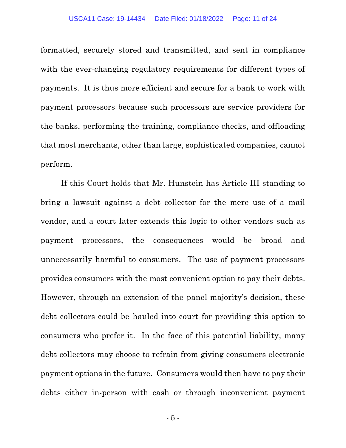formatted, securely stored and transmitted, and sent in compliance with the ever-changing regulatory requirements for different types of payments. It is thus more efficient and secure for a bank to work with payment processors because such processors are service providers for the banks, performing the training, compliance checks, and offloading that most merchants, other than large, sophisticated companies, cannot perform.

If this Court holds that Mr. Hunstein has Article III standing to bring a lawsuit against a debt collector for the mere use of a mail vendor, and a court later extends this logic to other vendors such as payment processors, the consequences would be broad and unnecessarily harmful to consumers. The use of payment processors provides consumers with the most convenient option to pay their debts. However, through an extension of the panel majority's decision, these debt collectors could be hauled into court for providing this option to consumers who prefer it. In the face of this potential liability, many debt collectors may choose to refrain from giving consumers electronic payment options in the future. Consumers would then have to pay their debts either in-person with cash or through inconvenient payment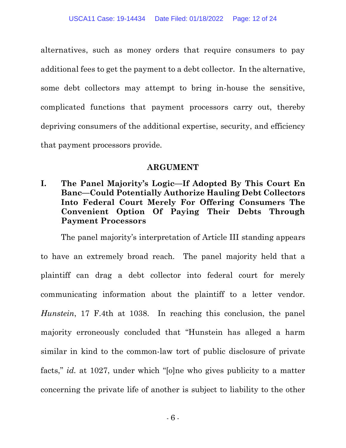alternatives, such as money orders that require consumers to pay additional fees to get the payment to a debt collector. In the alternative, some debt collectors may attempt to bring in-house the sensitive, complicated functions that payment processors carry out, thereby depriving consumers of the additional expertise, security, and efficiency that payment processors provide.

## **ARGUMENT**

<span id="page-20-1"></span><span id="page-20-0"></span>**I. The Panel Majority's Logic—If Adopted By This Court En Banc—Could Potentially Authorize Hauling Debt Collectors Into Federal Court Merely For Offering Consumers The Convenient Option Of Paying Their Debts Through Payment Processors**

The panel majority's interpretation of Article III standing appears to have an extremely broad reach. The panel majority held that a plaintiff can drag a debt collector into federal court for merely communicating information about the plaintiff to a letter vendor. *Hunstein*, 17 F.4th at 1038. In reaching this conclusion, the panel majority erroneously concluded that "Hunstein has alleged a harm similar in kind to the common-law tort of public disclosure of private facts," *id.* at 1027, under which "[o]ne who gives publicity to a matter concerning the private life of another is subject to liability to the other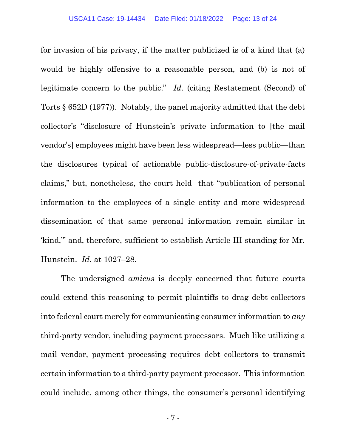for invasion of his privacy, if the matter publicized is of a kind that (a) would be highly offensive to a reasonable person, and (b) is not of legitimate concern to the public." *Id.* (citing Restatement (Second) of Torts § 652D (1977)). Notably, the panel majority admitted that the debt collector's "disclosure of Hunstein's private information to [the mail vendor's] employees might have been less widespread—less public—than the disclosures typical of actionable public-disclosure-of-private-facts claims," but, nonetheless, the court held that "publication of personal information to the employees of a single entity and more widespread dissemination of that same personal information remain similar in 'kind,'" and, therefore, sufficient to establish Article III standing for Mr. Hunstein. *Id.* at 1027–28.

The undersigned *amicus* is deeply concerned that future courts could extend this reasoning to permit plaintiffs to drag debt collectors into federal court merely for communicating consumer information to *any* third-party vendor, including payment processors. Much like utilizing a mail vendor, payment processing requires debt collectors to transmit certain information to a third-party payment processor. This information could include, among other things, the consumer's personal identifying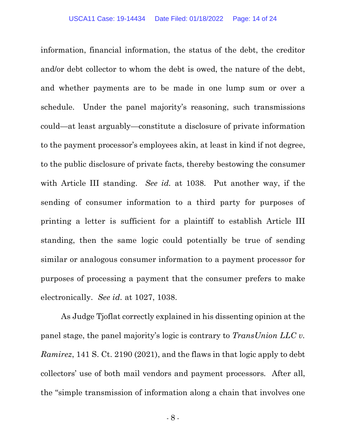information, financial information, the status of the debt, the creditor and/or debt collector to whom the debt is owed, the nature of the debt, and whether payments are to be made in one lump sum or over a schedule. Under the panel majority's reasoning, such transmissions could—at least arguably—constitute a disclosure of private information to the payment processor's employees akin, at least in kind if not degree, to the public disclosure of private facts, thereby bestowing the consumer with Article III standing. *See id.* at 1038. Put another way, if the sending of consumer information to a third party for purposes of printing a letter is sufficient for a plaintiff to establish Article III standing, then the same logic could potentially be true of sending similar or analogous consumer information to a payment processor for purposes of processing a payment that the consumer prefers to make electronically. *See id.* at 1027, 1038.

As Judge Tjoflat correctly explained in his dissenting opinion at the panel stage, the panel majority's logic is contrary to *TransUnion LLC v. Ramirez*, 141 S. Ct. 2190 (2021), and the flaws in that logic apply to debt collectors' use of both mail vendors and payment processors*.* After all, the "simple transmission of information along a chain that involves one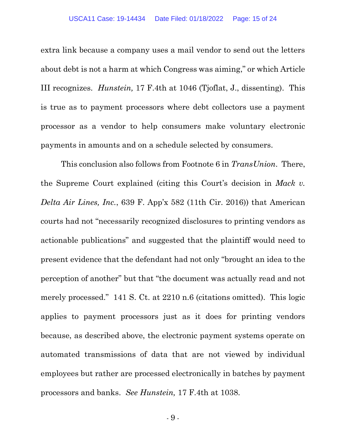extra link because a company uses a mail vendor to send out the letters about debt is not a harm at which Congress was aiming," or which Article III recognizes. *Hunstein,* 17 F.4th at 1046 (Tjoflat, J., dissenting). This is true as to payment processors where debt collectors use a payment processor as a vendor to help consumers make voluntary electronic payments in amounts and on a schedule selected by consumers.

This conclusion also follows from Footnote 6 in *TransUnion*. There, the Supreme Court explained (citing this Court's decision in *Mack v. Delta Air Lines, Inc.*, 639 F. App'x 582 (11th Cir. 2016)) that American courts had not "necessarily recognized disclosures to printing vendors as actionable publications" and suggested that the plaintiff would need to present evidence that the defendant had not only "brought an idea to the perception of another" but that "the document was actually read and not merely processed." 141 S. Ct. at 2210 n.6 (citations omitted). This logic applies to payment processors just as it does for printing vendors because, as described above, the electronic payment systems operate on automated transmissions of data that are not viewed by individual employees but rather are processed electronically in batches by payment processors and banks. *See Hunstein,* 17 F.4th at 1038.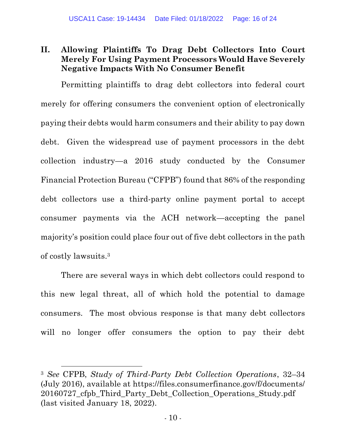## <span id="page-24-0"></span>**II. Allowing Plaintiffs To Drag Debt Collectors Into Court Merely For Using Payment Processors Would Have Severely Negative Impacts With No Consumer Benefit**

Permitting plaintiffs to drag debt collectors into federal court merely for offering consumers the convenient option of electronically paying their debts would harm consumers and their ability to pay down debt. Given the widespread use of payment processors in the debt collection industry—a 2016 study conducted by the Consumer Financial Protection Bureau ("CFPB") found that 86% of the responding debt collectors use a third-party online payment portal to accept consumer payments via the ACH network—accepting the panel majority's position could place four out of five debt collectors in the path of costly lawsuits. 3

There are several ways in which debt collectors could respond to this new legal threat, all of which hold the potential to damage consumers. The most obvious response is that many debt collectors will no longer offer consumers the option to pay their debt

<sup>3</sup> *See* CFPB, *Study of Third-Party Debt Collection Operations*, 32–34 (July 2016), available at https://files.consumerfinance.gov/f/documents/ 20160727\_cfpb\_Third\_Party\_Debt\_Collection\_Operations\_Study.pdf (last visited January 18, 2022).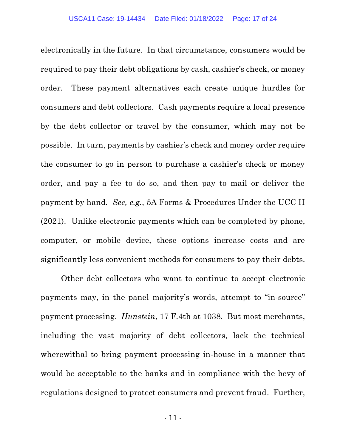electronically in the future. In that circumstance, consumers would be required to pay their debt obligations by cash, cashier's check, or money order. These payment alternatives each create unique hurdles for consumers and debt collectors. Cash payments require a local presence by the debt collector or travel by the consumer, which may not be possible. In turn, payments by cashier's check and money order require the consumer to go in person to purchase a cashier's check or money order, and pay a fee to do so, and then pay to mail or deliver the payment by hand. *See, e.g.*, 5A Forms & Procedures Under the UCC II (2021). Unlike electronic payments which can be completed by phone, computer, or mobile device, these options increase costs and are significantly less convenient methods for consumers to pay their debts.

Other debt collectors who want to continue to accept electronic payments may, in the panel majority's words, attempt to "in-source" payment processing. *Hunstein*, 17 F.4th at 1038. But most merchants, including the vast majority of debt collectors, lack the technical wherewithal to bring payment processing in-house in a manner that would be acceptable to the banks and in compliance with the bevy of regulations designed to protect consumers and prevent fraud. Further,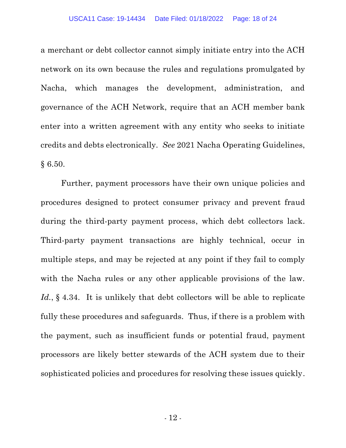a merchant or debt collector cannot simply initiate entry into the ACH network on its own because the rules and regulations promulgated by Nacha, which manages the development, administration, and governance of the ACH Network, require that an ACH member bank enter into a written agreement with any entity who seeks to initiate credits and debts electronically. *See* 2021 Nacha Operating Guidelines, § 6.50.

Further, payment processors have their own unique policies and procedures designed to protect consumer privacy and prevent fraud during the third-party payment process, which debt collectors lack. Third-party payment transactions are highly technical, occur in multiple steps, and may be rejected at any point if they fail to comply with the Nacha rules or any other applicable provisions of the law. Id., § 4.34. It is unlikely that debt collectors will be able to replicate fully these procedures and safeguards. Thus, if there is a problem with the payment, such as insufficient funds or potential fraud, payment processors are likely better stewards of the ACH system due to their sophisticated policies and procedures for resolving these issues quickly.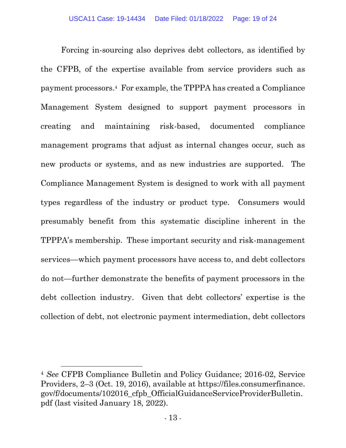Forcing in-sourcing also deprives debt collectors, as identified by the CFPB, of the expertise available from service providers such as payment processors.4 For example, the TPPPA has created a Compliance Management System designed to support payment processors in creating and maintaining risk-based, documented compliance management programs that adjust as internal changes occur, such as new products or systems, and as new industries are supported. The Compliance Management System is designed to work with all payment types regardless of the industry or product type. Consumers would presumably benefit from this systematic discipline inherent in the TPPPA's membership. These important security and risk-management services—which payment processors have access to, and debt collectors do not—further demonstrate the benefits of payment processors in the debt collection industry. Given that debt collectors' expertise is the collection of debt, not electronic payment intermediation, debt collectors

<sup>4</sup> *See* CFPB Compliance Bulletin and Policy Guidance; 2016-02, Service Providers, 2–3 (Oct. 19, 2016), available at https://files.consumerfinance. gov/f/documents/102016\_cfpb\_OfficialGuidanceServiceProviderBulletin. pdf (last visited January 18, 2022).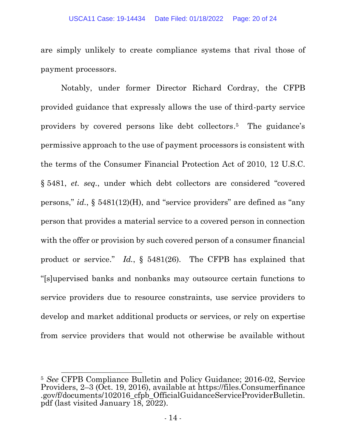are simply unlikely to create compliance systems that rival those of payment processors.

Notably, under former Director Richard Cordray, the CFPB provided guidance that expressly allows the use of third-party service providers by covered persons like debt collectors. <sup>5</sup> The guidance's permissive approach to the use of payment processors is consistent with the terms of the Consumer Financial Protection Act of 2010, 12 U.S.C. § 5481, *et. seq.*, under which debt collectors are considered "covered persons," *id.*, § 5481(12)(H), and "service providers" are defined as "any person that provides a material service to a covered person in connection with the offer or provision by such covered person of a consumer financial product or service." *Id.*, § 5481(26). The CFPB has explained that "[s]upervised banks and nonbanks may outsource certain functions to service providers due to resource constraints, use service providers to develop and market additional products or services, or rely on expertise from service providers that would not otherwise be available without

<sup>5</sup> *See* CFPB Compliance Bulletin and Policy Guidance; 2016-02, Service Providers, 2–3 (Oct. 19, 2016), available at https://files.Consumerfinance .gov/f/documents/102016\_cfpb\_OfficialGuidanceServiceProviderBulletin. pdf (last visited January 18, 2022).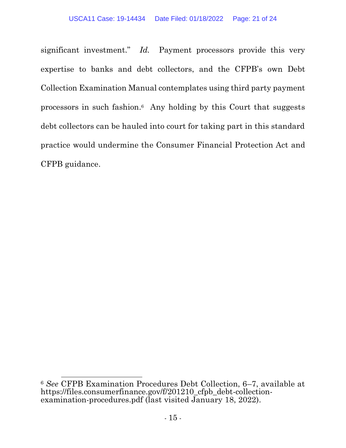significant investment." *Id.* Payment processors provide this very expertise to banks and debt collectors, and the CFPB's own Debt Collection Examination Manual contemplates using third party payment processors in such fashion. <sup>6</sup> Any holding by this Court that suggests debt collectors can be hauled into court for taking part in this standard practice would undermine the Consumer Financial Protection Act and CFPB guidance.

<sup>6</sup> *See* CFPB Examination Procedures Debt Collection, 6–7, available at https://files.consumerfinance.gov/f/201210\_cfpb\_debt-collectionexamination-procedures.pdf (last visited January 18, 2022).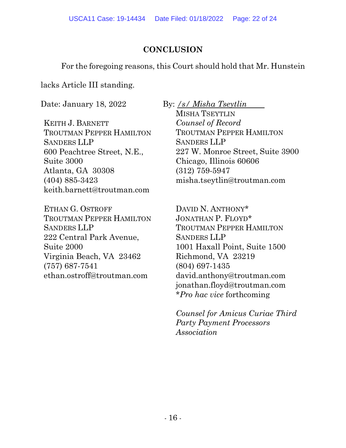## **CONCLUSION**

<span id="page-30-0"></span>For the foregoing reasons, this Court should hold that Mr. Hunstein

lacks Article III standing.

Date: January 18, 2022 By: */s/ Misha Tseytlin*

KEITH J. BARNETT TROUTMAN PEPPER HAMILTON SANDERS LLP 600 Peachtree Street, N.E., Suite 3000 Atlanta, GA 30308 (404) 885-3423 keith.barnett@troutman.com

ETHAN G. OSTROFF TROUTMAN PEPPER HAMILTON SANDERS LLP 222 Central Park Avenue, Suite 2000 Virginia Beach, VA 23462 (757) 687-7541 ethan.ostroff@troutman.com

MISHA TSEYTLIN *Counsel of Record* TROUTMAN PEPPER HAMILTON SANDERS LLP 227 W. Monroe Street, Suite 3900 Chicago, Illinois 60606 (312) 759-5947 misha.tseytlin@troutman.com

DAVID N. ANTHONY\* JONATHAN P. FLOYD\* TROUTMAN PEPPER HAMILTON SANDERS LLP 1001 Haxall Point, Suite 1500 Richmond, VA 23219 (804) 697-1435 david.anthony@troutman.com jonathan.floyd@troutman.com \**Pro hac vice* forthcoming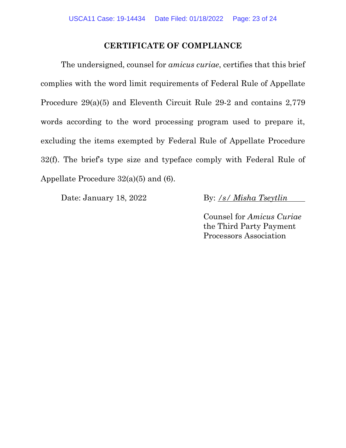## **CERTIFICATE OF COMPLIANCE**

The undersigned, counsel for *amicus curiae*, certifies that this brief complies with the word limit requirements of Federal Rule of Appellate Procedure 29(a)(5) and Eleventh Circuit Rule 29-2 and contains 2,779 words according to the word processing program used to prepare it, excluding the items exempted by Federal Rule of Appellate Procedure 32(f). The brief's type size and typeface comply with Federal Rule of Appellate Procedure 32(a)(5) and (6).

Date: January 18, 2022 By: */s/ Misha Tseytlin*